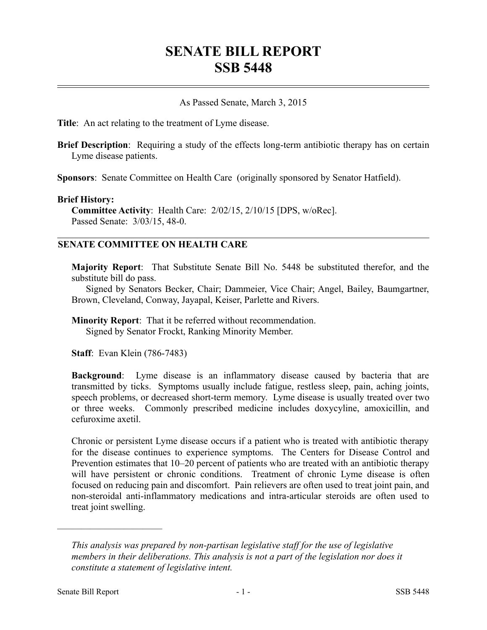## **SENATE BILL REPORT SSB 5448**

As Passed Senate, March 3, 2015

**Title**: An act relating to the treatment of Lyme disease.

**Brief Description**: Requiring a study of the effects long-term antibiotic therapy has on certain Lyme disease patients.

**Sponsors**: Senate Committee on Health Care (originally sponsored by Senator Hatfield).

## **Brief History:**

**Committee Activity**: Health Care: 2/02/15, 2/10/15 [DPS, w/oRec]. Passed Senate: 3/03/15, 48-0.

## **SENATE COMMITTEE ON HEALTH CARE**

**Majority Report**: That Substitute Senate Bill No. 5448 be substituted therefor, and the substitute bill do pass.

Signed by Senators Becker, Chair; Dammeier, Vice Chair; Angel, Bailey, Baumgartner, Brown, Cleveland, Conway, Jayapal, Keiser, Parlette and Rivers.

**Minority Report**: That it be referred without recommendation. Signed by Senator Frockt, Ranking Minority Member.

**Staff**: Evan Klein (786-7483)

**Background**: Lyme disease is an inflammatory disease caused by bacteria that are transmitted by ticks. Symptoms usually include fatigue, restless sleep, pain, aching joints, speech problems, or decreased short-term memory. Lyme disease is usually treated over two or three weeks. Commonly prescribed medicine includes doxycyline, amoxicillin, and cefuroxime axetil.

Chronic or persistent Lyme disease occurs if a patient who is treated with antibiotic therapy for the disease continues to experience symptoms. The Centers for Disease Control and Prevention estimates that 10–20 percent of patients who are treated with an antibiotic therapy will have persistent or chronic conditions. Treatment of chronic Lyme disease is often focused on reducing pain and discomfort. Pain relievers are often used to treat joint pain, and non-steroidal anti-inflammatory medications and intra-articular steroids are often used to treat joint swelling.

––––––––––––––––––––––

*This analysis was prepared by non-partisan legislative staff for the use of legislative members in their deliberations. This analysis is not a part of the legislation nor does it constitute a statement of legislative intent.*